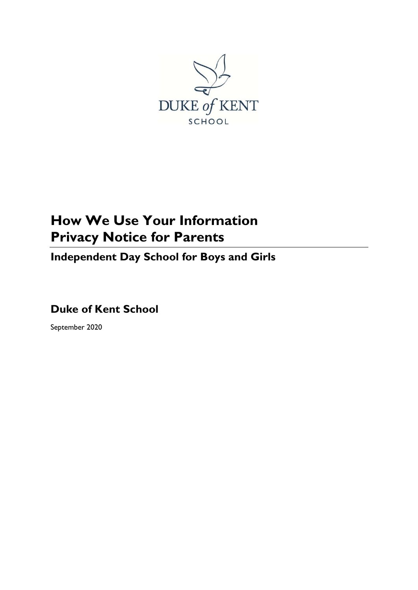

# **How We Use Your Information Privacy Notice for Parents**

**Independent Day School for Boys and Girls**

**Duke of Kent School**

September 2020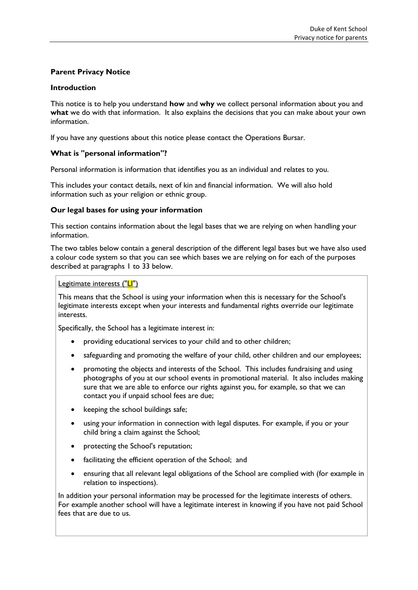# **Parent Privacy Notice**

#### **Introduction**

This notice is to help you understand **how** and **why** we collect personal information about you and **what** we do with that information. It also explains the decisions that you can make about your own information.

If you have any questions about this notice please contact the Operations Bursar.

# **What is "personal information"?**

Personal information is information that identifies you as an individual and relates to you.

This includes your contact details, next of kin and financial information. We will also hold information such as your religion or ethnic group.

# **Our legal bases for using your information**

This section contains information about the legal bases that we are relying on when handling your information.

The two tables below contain a general description of the different legal bases but we have also used a colour code system so that you can see which bases we are relying on for each of the purposes described at paragraphs 1 to [33](#page-5-0) below.

# Legitimate interests ("LI")

This means that the School is using your information when this is necessary for the School's legitimate interests except when your interests and fundamental rights override our legitimate interests.

Specifically, the School has a legitimate interest in:

- providing educational services to your child and to other children;
- safeguarding and promoting the welfare of your child, other children and our employees;
- promoting the objects and interests of the School. This includes fundraising and using photographs of you at our school events in promotional material. It also includes making sure that we are able to enforce our rights against you, for example, so that we can contact you if unpaid school fees are due;
- keeping the school buildings safe;
- using your information in connection with legal disputes. For example, if you or your child bring a claim against the School;
- protecting the School's reputation;
- facilitating the efficient operation of the School; and
- ensuring that all relevant legal obligations of the School are complied with (for example in relation to inspections).

In addition your personal information may be processed for the legitimate interests of others. For example another school will have a legitimate interest in knowing if you have not paid School fees that are due to us.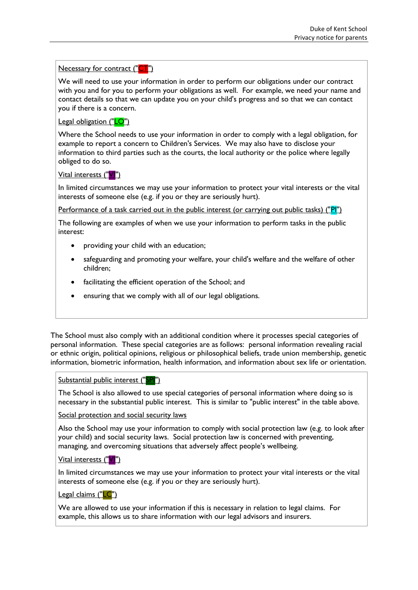# Necessary for contract ("CT")

We will need to use your information in order to perform our obligations under our contract with you and for you to perform your obligations as well. For example, we need your name and contact details so that we can update you on your child's progress and so that we can contact you if there is a concern.

# Legal obligation ("LO")

Where the School needs to use your information in order to comply with a legal obligation, for example to report a concern to Children's Services. We may also have to disclose your information to third parties such as the courts, the local authority or the police where legally obliged to do so.

Vital interests ("VI")

In limited circumstances we may use your information to protect your vital interests or the vital interests of someone else (e.g. if you or they are seriously hurt).

Performance of a task carried out in the public interest (or carrying out public tasks) ("PI")

The following are examples of when we use your information to perform tasks in the public interest:

- providing your child with an education;
- safeguarding and promoting your welfare, your child's welfare and the welfare of other children;
- facilitating the efficient operation of the School; and
- ensuring that we comply with all of our legal obligations.

The School must also comply with an additional condition where it processes special categories of personal information. These special categories are as follows: personal information revealing racial or ethnic origin, political opinions, religious or philosophical beliefs, trade union membership, genetic information, biometric information, health information, and information about sex life or orientation.

# Substantial public interest ("SPI")

The School is also allowed to use special categories of personal information where doing so is necessary in the substantial public interest. This is similar to "public interest" in the table above.

Social protection and social security laws

Also the School may use your information to comply with social protection law (e.g. to look after your child) and social security laws. Social protection law is concerned with preventing, managing, and overcoming situations that adversely affect people's wellbeing.

# Vital interests ("VI")

In limited circumstances we may use your information to protect your vital interests or the vital interests of someone else (e.g. if you or they are seriously hurt).

# Legal claims ("LC")

We are allowed to use your information if this is necessary in relation to legal claims. For example, this allows us to share information with our legal advisors and insurers.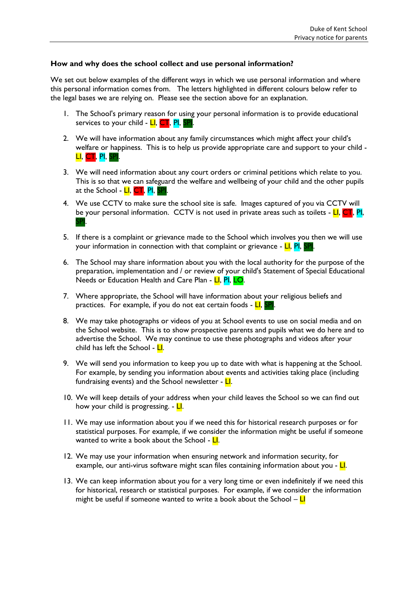# **How and why does the school collect and use personal information?**

We set out below examples of the different ways in which we use personal information and where this personal information comes from. The letters highlighted in different colours below refer to the legal bases we are relying on. Please see the section above for an explanation.

- 1. The School's primary reason for using your personal information is to provide educational services to your child - LI, CT, PI, SP
- 2. We will have information about any family circumstances which might affect your child's welfare or happiness. This is to help us provide appropriate care and support to your child - LI, CT, PI, SPI.
- 3. We will need information about any court orders or criminal petitions which relate to you. This is so that we can safeguard the welfare and wellbeing of your child and the other pupils at the School - LI, CT, PI, SPI.
- 4. We use CCTV to make sure the school site is safe. Images captured of you via CCTV will be your personal information. CCTV is not used in private areas such as toilets - LI, CT, PI, SPI.
- 5. If there is a complaint or grievance made to the School which involves you then we will use your information in connection with that complaint or grievance -  $LI$ , PI,
- 6. The School may share information about you with the local authority for the purpose of the preparation, implementation and / or review of your child's Statement of Special Educational Needs or Education Health and Care Plan - LI, PI, LO.
- 7. Where appropriate, the School will have information about your religious beliefs and practices. For example, if you do not eat certain foods -  $LI$ ,
- 8. We may take photographs or videos of you at School events to use on social media and on the School website. This is to show prospective parents and pupils what we do here and to advertise the School. We may continue to use these photographs and videos after your child has left the School - LI.
- 9. We will send you information to keep you up to date with what is happening at the School. For example, by sending you information about events and activities taking place (including fundraising events) and the School newsletter  $\text{-}$  LI.
- 10. We will keep details of your address when your child leaves the School so we can find out how your child is progressing. - LI.
- 11. We may use information about you if we need this for historical research purposes or for statistical purposes. For example, if we consider the information might be useful if someone wanted to write a book about the School - LI.
- 12. We may use your information when ensuring network and information security, for example, our anti-virus software might scan files containing information about you -  $\frac{L}{L}$ .
- 13. We can keep information about you for a very long time or even indefinitely if we need this for historical, research or statistical purposes. For example, if we consider the information might be useful if someone wanted to write a book about the School  $\overline{\mathsf{L}}$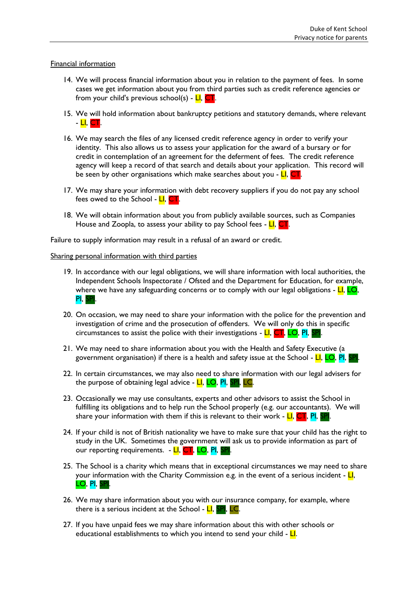#### Financial information

- 14. We will process financial information about you in relation to the payment of fees. In some cases we get information about you from third parties such as credit reference agencies or from your child's previous school(s) - LI, CT.
- 15. We will hold information about bankruptcy petitions and statutory demands, where relevant - LI, CT.
- 16. We may search the files of any licensed credit reference agency in order to verify your identity. This also allows us to assess your application for the award of a bursary or for credit in contemplation of an agreement for the deferment of fees. The credit reference agency will keep a record of that search and details about your application. This record will be seen by other organisations which make searches about you -  $LI$ ,  $CT$ .
- 17. We may share your information with debt recovery suppliers if you do not pay any school fees owed to the School - LI, CT.
- 18. We will obtain information about you from publicly available sources, such as Companies House and Zoopla, to assess your ability to pay School fees - LI, CT.

Failure to supply information may result in a refusal of an award or credit.

#### Sharing personal information with third parties

- 19. In accordance with our legal obligations, we will share information with local authorities, the Independent Schools Inspectorate / Ofsted and the Department for Education, for example, where we have any safeguarding concerns or to comply with our legal obligations -  $LI$ ,  $LO$ , PI, SPI.
- 20. On occasion, we may need to share your information with the police for the prevention and investigation of crime and the prosecution of offenders. We will only do this in specific circumstances to assist the police with their investigations -  $LI$ ,  $CT$ ,  $LO$ ,  $PI$ ,  $I$
- 21. We may need to share information about you with the Health and Safety Executive (a government organisation) if there is a health and safety issue at the School -  $LI$ ,  $LO$ , PI, SPI.
- 22. In certain circumstances, we may also need to share information with our legal advisers for the purpose of obtaining legal advice - LI, LO, PI, SPI, LC.
- 23. Occasionally we may use consultants, experts and other advisors to assist the School in fulfilling its obligations and to help run the School properly (e.g. our accountants). We will share your information with them if this is relevant to their work -  $LI$ ,  $CT$ ,  $PI$ ,
- 24. If your child is not of British nationality we have to make sure that your child has the right to study in the UK. Sometimes the government will ask us to provide information as part of our reporting requirements. - LI, CT, LO, PI, SPI.
- 25. The School is a charity which means that in exceptional circumstances we may need to share your information with the Charity Commission e.g. in the event of a serious incident -  $\Box$ , LO, PI, SPI.
- 26. We may share information about you with our insurance company, for example, where there is a serious incident at the School -  $LI$ , SPI, LC.
- 27. If you have unpaid fees we may share information about this with other schools or educational establishments to which you intend to send your child -  $L$ .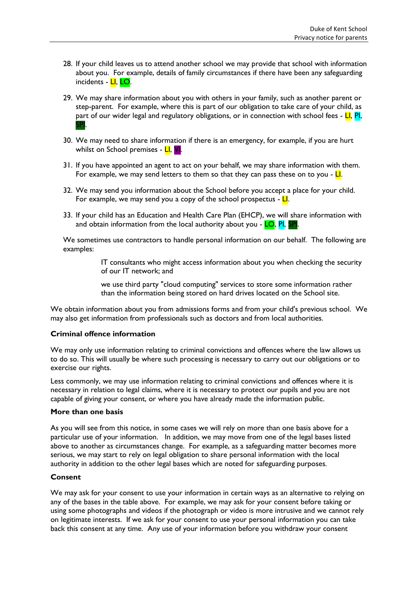- 28. If your child leaves us to attend another school we may provide that school with information about you. For example, details of family circumstances if there have been any safeguarding incidents - LI, LO.
- 29. We may share information about you with others in your family, such as another parent or step-parent. For example, where this is part of our obligation to take care of your child, as part of our wider legal and regulatory obligations, or in connection with school fees  $\text{-}$  LI, PI, SPI.
- 30. We may need to share information if there is an emergency, for example, if you are hurt whilst on School premises - LI, VI.
- 31. If you have appointed an agent to act on your behalf, we may share information with them. For example, we may send letters to them so that they can pass these on to you -  $L$ .
- 32. We may send you information about the School before you accept a place for your child. For example, we may send you a copy of the school prospectus  $-\frac{L}{L}$ .
- <span id="page-5-0"></span>33. If your child has an Education and Health Care Plan (EHCP), we will share information with and obtain information from the local authority about you - LO, PI, SPI.

We sometimes use contractors to handle personal information on our behalf. The following are examples:

> IT consultants who might access information about you when checking the security of our IT network; and

we use third party "cloud computing" services to store some information rather than the information being stored on hard drives located on the School site.

We obtain information about you from admissions forms and from your child's previous school. We may also get information from professionals such as doctors and from local authorities.

# **Criminal offence information**

We may only use information relating to criminal convictions and offences where the law allows us to do so. This will usually be where such processing is necessary to carry out our obligations or to exercise our rights.

Less commonly, we may use information relating to criminal convictions and offences where it is necessary in relation to legal claims, where it is necessary to protect our pupils and you are not capable of giving your consent, or where you have already made the information public.

# **More than one basis**

As you will see from this notice, in some cases we will rely on more than one basis above for a particular use of your information. In addition, we may move from one of the legal bases listed above to another as circumstances change. For example, as a safeguarding matter becomes more serious, we may start to rely on legal obligation to share personal information with the local authority in addition to the other legal bases which are noted for safeguarding purposes.

# **Consent**

We may ask for your consent to use your information in certain ways as an alternative to relying on any of the bases in the table above. For example, we may ask for your consent before taking or using some photographs and videos if the photograph or video is more intrusive and we cannot rely on legitimate interests. If we ask for your consent to use your personal information you can take back this consent at any time. Any use of your information before you withdraw your consent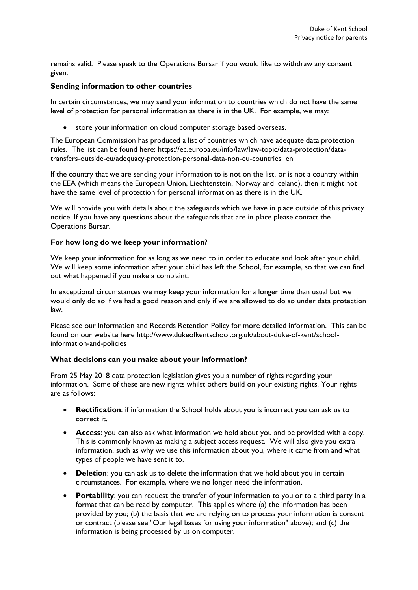remains valid. Please speak to the Operations Bursar if you would like to withdraw any consent given.

# **Sending information to other countries**

In certain circumstances, we may send your information to countries which do not have the same level of protection for personal information as there is in the UK. For example, we may:

store your information on cloud computer storage based overseas.

The European Commission has produced a list of countries which have adequate data protection rules. The list can be found here: https://ec.europa.eu/info/law/law-topic/data-protection/datatransfers-outside-eu/adequacy-protection-personal-data-non-eu-countries\_en

If the country that we are sending your information to is not on the list, or is not a country within the EEA (which means the European Union, Liechtenstein, Norway and Iceland), then it might not have the same level of protection for personal information as there is in the UK.

We will provide you with details about the safeguards which we have in place outside of this privacy notice. If you have any questions about the safeguards that are in place please contact the Operations Bursar.

# **For how long do we keep your information?**

We keep your information for as long as we need to in order to educate and look after your child. We will keep some information after your child has left the School, for example, so that we can find out what happened if you make a complaint.

In exceptional circumstances we may keep your information for a longer time than usual but we would only do so if we had a good reason and only if we are allowed to do so under data protection law.

Please see our Information and Records Retention Policy for more detailed information. This can be found on our website here http://www.dukeofkentschool.org.uk/about-duke-of-kent/schoolinformation-and-policies

# **What decisions can you make about your information?**

From 25 May 2018 data protection legislation gives you a number of rights regarding your information. Some of these are new rights whilst others build on your existing rights. Your rights are as follows:

- **Rectification**: if information the School holds about you is incorrect you can ask us to correct it.
- **Access**: you can also ask what information we hold about you and be provided with a copy. This is commonly known as making a subject access request. We will also give you extra information, such as why we use this information about you, where it came from and what types of people we have sent it to.
- **Deletion**: you can ask us to delete the information that we hold about you in certain circumstances. For example, where we no longer need the information.
- **Portability**: you can request the transfer of your information to you or to a third party in a format that can be read by computer. This applies where (a) the information has been provided by you; (b) the basis that we are relying on to process your information is consent or contract (please see "Our legal bases for using your information" above); and (c) the information is being processed by us on computer.